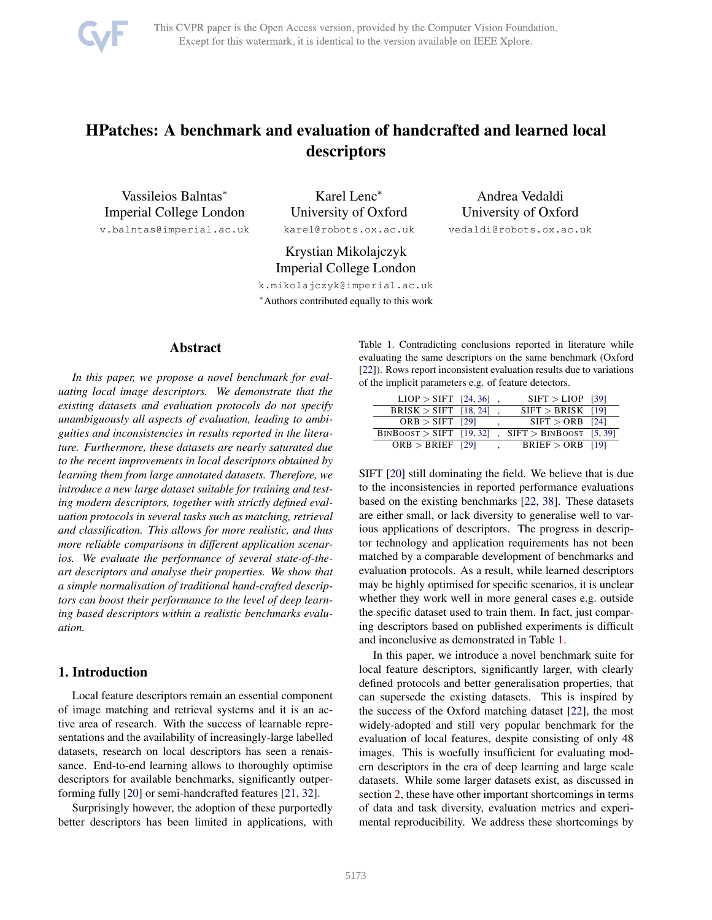

# HPatches: A benchmark and evaluation of handcrafted and learned local descriptors

Vassileios Balntas<sup>∗</sup> Imperial College London v.balntas@imperial.ac.uk

Karel Lenc<sup>∗</sup> University of Oxford karel@robots.ox.ac.uk

Andrea Vedaldi University of Oxford vedaldi@robots.ox.ac.uk

Krystian Mikolajczyk Imperial College London

k.mikolajczyk@imperial.ac.uk <sup>∗</sup>Authors contributed equally to this work

## Abstract

*In this paper, we propose a novel benchmark for evaluating local image descriptors. We demonstrate that the existing datasets and evaluation protocols do not specify unambiguously all aspects of evaluation, leading to ambiguities and inconsistencies in results reported in the literature. Furthermore, these datasets are nearly saturated due to the recent improvements in local descriptors obtained by learning them from large annotated datasets. Therefore, we introduce a new large dataset suitable for training and testing modern descriptors, together with strictly defined evaluation protocols in several tasks such as matching, retrieval and classification. This allows for more realistic, and thus more reliable comparisons in different application scenarios. We evaluate the performance of several state-of-theart descriptors and analyse their properties. We show that a simple normalisation of traditional hand-crafted descriptors can boost their performance to the level of deep learning based descriptors within a realistic benchmarks evaluation.*

# 1. Introduction

Local feature descriptors remain an essential component of image matching and retrieval systems and it is an active area of research. With the success of learnable representations and the availability of increasingly-large labelled datasets, research on local descriptors has seen a renaissance. End-to-end learning allows to thoroughly optimise descriptors for available benchmarks, significantly outperforming fully [\[20\]](#page-8-0) or semi-handcrafted features [\[21,](#page-8-1) [32\]](#page-8-2).

Surprisingly however, the adoption of these purportedly better descriptors has been limited in applications, with <span id="page-0-0"></span>Table 1. Contradicting conclusions reported in literature while evaluating the same descriptors on the same benchmark (Oxford [\[22\]](#page-8-3)). Rows report inconsistent evaluation results due to variations of the implicit parameters e.g. of feature detectors.

| $LIOP > SIFT$ [24, 36],  |  | $SIFT > LIOP$ [39]                                    |  |
|--------------------------|--|-------------------------------------------------------|--|
| $BRISK > SIFT$ [18, 24]. |  | $SIFT > BRISK$ [19]                                   |  |
| $ORB > SIFT$ [29]        |  | $SIFT > ORB$ [24]                                     |  |
|                          |  | $BINBoost > SIFT$ [19, 32], $SIFT > BINBoost$ [5, 39] |  |
| $ORB > BRIEF$ [29]       |  | $BRIEF > ORB$ [19]                                    |  |

SIFT [\[20\]](#page-8-0) still dominating the field. We believe that is due to the inconsistencies in reported performance evaluations based on the existing benchmarks [\[22,](#page-8-3) [38\]](#page-8-11). These datasets are either small, or lack diversity to generalise well to various applications of descriptors. The progress in descriptor technology and application requirements has not been matched by a comparable development of benchmarks and evaluation protocols. As a result, while learned descriptors may be highly optimised for specific scenarios, it is unclear whether they work well in more general cases e.g. outside the specific dataset used to train them. In fact, just comparing descriptors based on published experiments is difficult and inconclusive as demonstrated in Table [1.](#page-0-0)

In this paper, we introduce a novel benchmark suite for local feature descriptors, significantly larger, with clearly defined protocols and better generalisation properties, that can supersede the existing datasets. This is inspired by the success of the Oxford matching dataset [\[22\]](#page-8-3), the most widely-adopted and still very popular benchmark for the evaluation of local features, despite consisting of only 48 images. This is woefully insufficient for evaluating modern descriptors in the era of deep learning and large scale datasets. While some larger datasets exist, as discussed in section [2,](#page-1-0) these have other important shortcomings in terms of data and task diversity, evaluation metrics and experimental reproducibility. We address these shortcomings by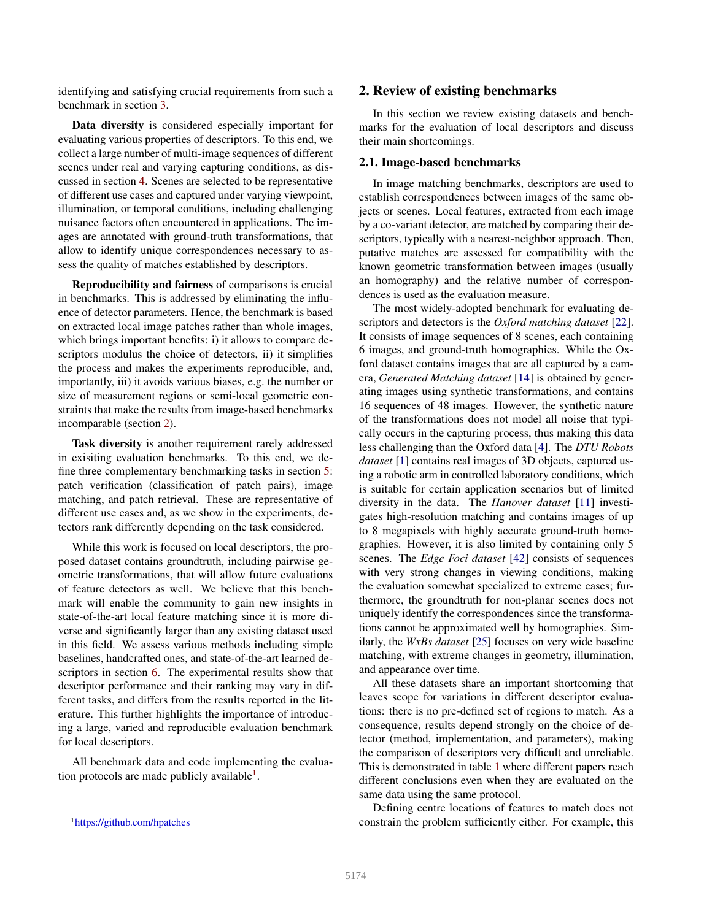identifying and satisfying crucial requirements from such a benchmark in section [3.](#page-2-0)

Data diversity is considered especially important for evaluating various properties of descriptors. To this end, we collect a large number of multi-image sequences of different scenes under real and varying capturing conditions, as discussed in section [4.](#page-3-0) Scenes are selected to be representative of different use cases and captured under varying viewpoint, illumination, or temporal conditions, including challenging nuisance factors often encountered in applications. The images are annotated with ground-truth transformations, that allow to identify unique correspondences necessary to assess the quality of matches established by descriptors.

Reproducibility and fairness of comparisons is crucial in benchmarks. This is addressed by eliminating the influence of detector parameters. Hence, the benchmark is based on extracted local image patches rather than whole images, which brings important benefits: i) it allows to compare descriptors modulus the choice of detectors, ii) it simplifies the process and makes the experiments reproducible, and, importantly, iii) it avoids various biases, e.g. the number or size of measurement regions or semi-local geometric constraints that make the results from image-based benchmarks incomparable (section [2\)](#page-1-0).

Task diversity is another requirement rarely addressed in exisiting evaluation benchmarks. To this end, we define three complementary benchmarking tasks in section [5:](#page-4-0) patch verification (classification of patch pairs), image matching, and patch retrieval. These are representative of different use cases and, as we show in the experiments, detectors rank differently depending on the task considered.

While this work is focused on local descriptors, the proposed dataset contains groundtruth, including pairwise geometric transformations, that will allow future evaluations of feature detectors as well. We believe that this benchmark will enable the community to gain new insights in state-of-the-art local feature matching since it is more diverse and significantly larger than any existing dataset used in this field. We assess various methods including simple baselines, handcrafted ones, and state-of-the-art learned descriptors in section [6.](#page-5-0) The experimental results show that descriptor performance and their ranking may vary in different tasks, and differs from the results reported in the literature. This further highlights the importance of introducing a large, varied and reproducible evaluation benchmark for local descriptors.

All benchmark data and code implementing the evalua-tion protocols are made publicly available<sup>[1](#page-1-1)</sup>.

#### <span id="page-1-1"></span><sup>1</sup><https://github.com/hpatches>

#### <span id="page-1-0"></span>2. Review of existing benchmarks

In this section we review existing datasets and benchmarks for the evaluation of local descriptors and discuss their main shortcomings.

#### 2.1. Image-based benchmarks

In image matching benchmarks, descriptors are used to establish correspondences between images of the same objects or scenes. Local features, extracted from each image by a co-variant detector, are matched by comparing their descriptors, typically with a nearest-neighbor approach. Then, putative matches are assessed for compatibility with the known geometric transformation between images (usually an homography) and the relative number of correspondences is used as the evaluation measure.

The most widely-adopted benchmark for evaluating descriptors and detectors is the *Oxford matching dataset* [\[22\]](#page-8-3). It consists of image sequences of 8 scenes, each containing 6 images, and ground-truth homographies. While the Oxford dataset contains images that are all captured by a camera, *Generated Matching dataset* [\[14\]](#page-8-12) is obtained by generating images using synthetic transformations, and contains 16 sequences of 48 images. However, the synthetic nature of the transformations does not model all noise that typically occurs in the capturing process, thus making this data less challenging than the Oxford data [\[4\]](#page-8-13). The *DTU Robots dataset* [\[1\]](#page-8-14) contains real images of 3D objects, captured using a robotic arm in controlled laboratory conditions, which is suitable for certain application scenarios but of limited diversity in the data. The *Hanover dataset* [\[11\]](#page-8-15) investigates high-resolution matching and contains images of up to 8 megapixels with highly accurate ground-truth homographies. However, it is also limited by containing only 5 scenes. The *Edge Foci dataset* [\[42\]](#page-9-0) consists of sequences with very strong changes in viewing conditions, making the evaluation somewhat specialized to extreme cases; furthermore, the groundtruth for non-planar scenes does not uniquely identify the correspondences since the transformations cannot be approximated well by homographies. Similarly, the *WxBs dataset* [\[25\]](#page-8-16) focuses on very wide baseline matching, with extreme changes in geometry, illumination, and appearance over time.

All these datasets share an important shortcoming that leaves scope for variations in different descriptor evaluations: there is no pre-defined set of regions to match. As a consequence, results depend strongly on the choice of detector (method, implementation, and parameters), making the comparison of descriptors very difficult and unreliable. This is demonstrated in table [1](#page-0-0) where different papers reach different conclusions even when they are evaluated on the same data using the same protocol.

Defining centre locations of features to match does not constrain the problem sufficiently either. For example, this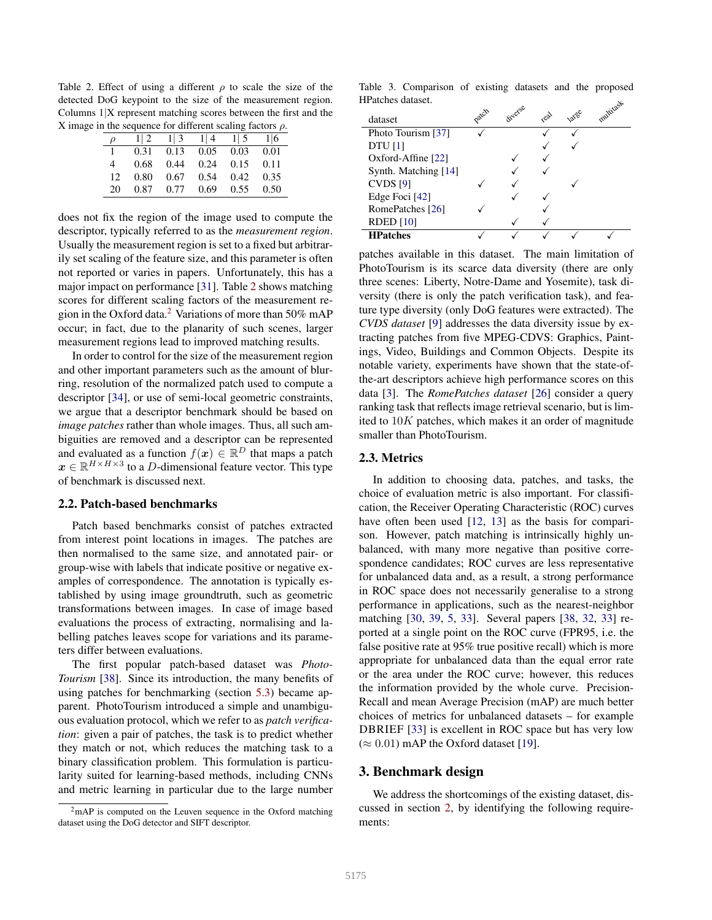<span id="page-2-1"></span>Table 2. Effect of using a different  $\rho$  to scale the size of the detected DoG keypoint to the size of the measurement region. Columns 1|X represent matching scores between the first and the X image in the sequence for different scaling factors *ρ*.

|              | If the sequence for unicrem sealing factors $\rho$ . |                         |      |             |      |
|--------------|------------------------------------------------------|-------------------------|------|-------------|------|
| $\rho$       |                                                      | $1 2 \t1 3 \t1 4 \t1 5$ |      |             | 1 6  |
| $\mathbf{1}$ | 0.31                                                 | 0.13                    | 0.05 | 0.03        | 0.01 |
| 4            | 0.68                                                 | 0.44                    |      | $0.24$ 0.15 | 0.11 |
| 12           | 0.80                                                 | 0.67                    | 0.54 | 0.42        | 0.35 |
| 20           | 0.87                                                 | 0.77                    | 0.69 | 0.55        | 0.50 |

does not fix the region of the image used to compute the descriptor, typically referred to as the *measurement region*. Usually the measurement region is set to a fixed but arbitrarily set scaling of the feature size, and this parameter is often not reported or varies in papers. Unfortunately, this has a major impact on performance [\[31\]](#page-8-17). Table [2](#page-2-1) shows matching scores for different scaling factors of the measurement re-gion in the Oxford data.<sup>[2](#page-2-2)</sup> Variations of more than  $50\%$  mAP occur; in fact, due to the planarity of such scenes, larger measurement regions lead to improved matching results.

In order to control for the size of the measurement region and other important parameters such as the amount of blurring, resolution of the normalized patch used to compute a descriptor [\[34\]](#page-8-18), or use of semi-local geometric constraints, we argue that a descriptor benchmark should be based on *image patches* rather than whole images. Thus, all such ambiguities are removed and a descriptor can be represented and evaluated as a function  $f(x) \in \mathbb{R}^D$  that maps a patch  $x \in \mathbb{R}^{H \times H \times 3}$  to a *D*-dimensional feature vector. This type of benchmark is discussed next.

#### 2.2. Patch-based benchmarks

Patch based benchmarks consist of patches extracted from interest point locations in images. The patches are then normalised to the same size, and annotated pair- or group-wise with labels that indicate positive or negative examples of correspondence. The annotation is typically established by using image groundtruth, such as geometric transformations between images. In case of image based evaluations the process of extracting, normalising and labelling patches leaves scope for variations and its parameters differ between evaluations.

The first popular patch-based dataset was *Photo-Tourism* [\[38\]](#page-8-11). Since its introduction, the many benefits of using patches for benchmarking (section [5.3\)](#page-5-1) became apparent. PhotoTourism introduced a simple and unambiguous evaluation protocol, which we refer to as *patch verification*: given a pair of patches, the task is to predict whether they match or not, which reduces the matching task to a binary classification problem. This formulation is particularity suited for learning-based methods, including CNNs and metric learning in particular due to the large number

<span id="page-2-3"></span>Table 3. Comparison of existing datasets and the proposed HPatches dataset.

| -iPatches dataset.   |       |                |       |           |
|----------------------|-------|----------------|-------|-----------|
| dataset              | patch | <b>Niverse</b> | 12180 | multitast |
| Photo Tourism [37]   |       |                |       |           |
| <b>DTU</b> [1]       |       |                |       |           |
| Oxford-Affine [22]   |       |                |       |           |
| Synth. Matching [14] |       |                |       |           |
| <b>CVDS</b> [9]      |       |                |       |           |
| Edge Foci [42]       |       |                |       |           |
| RomePatches [26]     |       |                |       |           |
| <b>RDED</b> [10]     |       |                |       |           |
| <b>HPatches</b>      |       |                |       |           |

patches available in this dataset. The main limitation of PhotoTourism is its scarce data diversity (there are only three scenes: Liberty, Notre-Dame and Yosemite), task diversity (there is only the patch verification task), and feature type diversity (only DoG features were extracted). The *CVDS dataset* [\[9\]](#page-8-20) addresses the data diversity issue by extracting patches from five MPEG-CDVS: Graphics, Paintings, Video, Buildings and Common Objects. Despite its notable variety, experiments have shown that the state-ofthe-art descriptors achieve high performance scores on this data [\[3\]](#page-8-23). The *RomePatches dataset* [\[26\]](#page-8-21) consider a query ranking task that reflects image retrieval scenario, but is limited to 10*K* patches, which makes it an order of magnitude smaller than PhotoTourism.

## 2.3. Metrics

In addition to choosing data, patches, and tasks, the choice of evaluation metric is also important. For classification, the Receiver Operating Characteristic (ROC) curves have often been used [\[12,](#page-8-24) [13\]](#page-8-25) as the basis for comparison. However, patch matching is intrinsically highly unbalanced, with many more negative than positive correspondence candidates; ROC curves are less representative for unbalanced data and, as a result, a strong performance in ROC space does not necessarily generalise to a strong performance in applications, such as the nearest-neighbor matching [\[30,](#page-8-26) [39,](#page-8-6) [5,](#page-8-10) [33\]](#page-8-27). Several papers [\[38,](#page-8-11) [32,](#page-8-2) [33\]](#page-8-27) reported at a single point on the ROC curve (FPR95, i.e. the false positive rate at 95% true positive recall) which is more appropriate for unbalanced data than the equal error rate or the area under the ROC curve; however, this reduces the information provided by the whole curve. Precision-Recall and mean Average Precision (mAP) are much better choices of metrics for unbalanced datasets – for example DBRIEF [\[33\]](#page-8-27) is excellent in ROC space but has very low  $(\approx 0.01)$  mAP the Oxford dataset [\[19\]](#page-8-8).

## <span id="page-2-0"></span>3. Benchmark design

We address the shortcomings of the existing dataset, discussed in section [2,](#page-1-0) by identifying the following requirements:

<span id="page-2-2"></span> $2mAP$  is computed on the Leuven sequence in the Oxford matching dataset using the DoG detector and SIFT descriptor.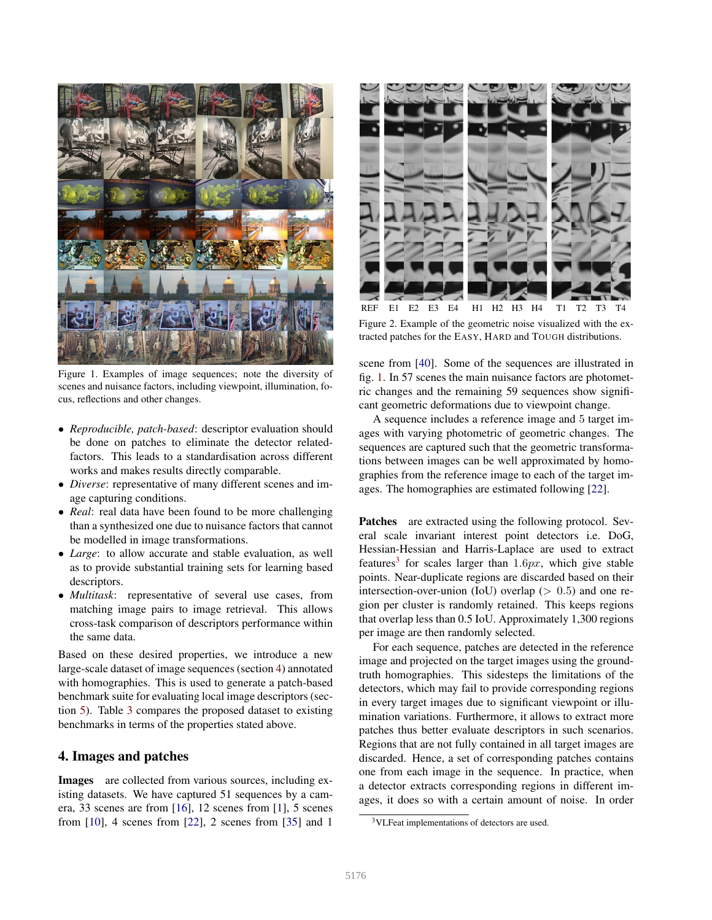

Figure 1. Examples of image sequences; note the diversity of scenes and nuisance factors, including viewpoint, illumination, focus, reflections and other changes.

- <span id="page-3-1"></span>• *Reproducible, patch-based*: descriptor evaluation should be done on patches to eliminate the detector relatedfactors. This leads to a standardisation across different works and makes results directly comparable.
- *Diverse*: representative of many different scenes and image capturing conditions.
- *Real*: real data have been found to be more challenging than a synthesized one due to nuisance factors that cannot be modelled in image transformations.
- *Large*: to allow accurate and stable evaluation, as well as to provide substantial training sets for learning based descriptors.
- *Multitask*: representative of several use cases, from matching image pairs to image retrieval. This allows cross-task comparison of descriptors performance within the same data.

Based on these desired properties, we introduce a new large-scale dataset of image sequences (section [4\)](#page-3-0) annotated with homographies. This is used to generate a patch-based benchmark suite for evaluating local image descriptors (section [5\)](#page-4-0). Table [3](#page-2-3) compares the proposed dataset to existing benchmarks in terms of the properties stated above.

## <span id="page-3-0"></span>4. Images and patches

Images are collected from various sources, including existing datasets. We have captured 51 sequences by a camera, 33 scenes are from [\[16\]](#page-8-28), 12 scenes from [\[1\]](#page-8-14), 5 scenes from [\[10\]](#page-8-22), 4 scenes from [\[22\]](#page-8-3), 2 scenes from [\[35\]](#page-8-29) and 1



<span id="page-3-3"></span>Figure 2. Example of the geometric noise visualized with the extracted patches for the EASY, HARD and TOUGH distributions.

scene from [\[40\]](#page-9-1). Some of the sequences are illustrated in fig. [1.](#page-3-1) In 57 scenes the main nuisance factors are photometric changes and the remaining 59 sequences show significant geometric deformations due to viewpoint change.

A sequence includes a reference image and 5 target images with varying photometric of geometric changes. The sequences are captured such that the geometric transformations between images can be well approximated by homographies from the reference image to each of the target images. The homographies are estimated following [\[22\]](#page-8-3).

Patches are extracted using the following protocol. Several scale invariant interest point detectors i.e. DoG, Hessian-Hessian and Harris-Laplace are used to extract features[3](#page-3-2) for scales larger than 1*.*6*px*, which give stable points. Near-duplicate regions are discarded based on their intersection-over-union (IoU) overlap (*>* 0*.*5) and one region per cluster is randomly retained. This keeps regions that overlap less than 0.5 IoU. Approximately 1,300 regions per image are then randomly selected.

For each sequence, patches are detected in the reference image and projected on the target images using the groundtruth homographies. This sidesteps the limitations of the detectors, which may fail to provide corresponding regions in every target images due to significant viewpoint or illumination variations. Furthermore, it allows to extract more patches thus better evaluate descriptors in such scenarios. Regions that are not fully contained in all target images are discarded. Hence, a set of corresponding patches contains one from each image in the sequence. In practice, when a detector extracts corresponding regions in different images, it does so with a certain amount of noise. In order

<span id="page-3-2"></span><sup>3</sup>VLFeat implementations of detectors are used.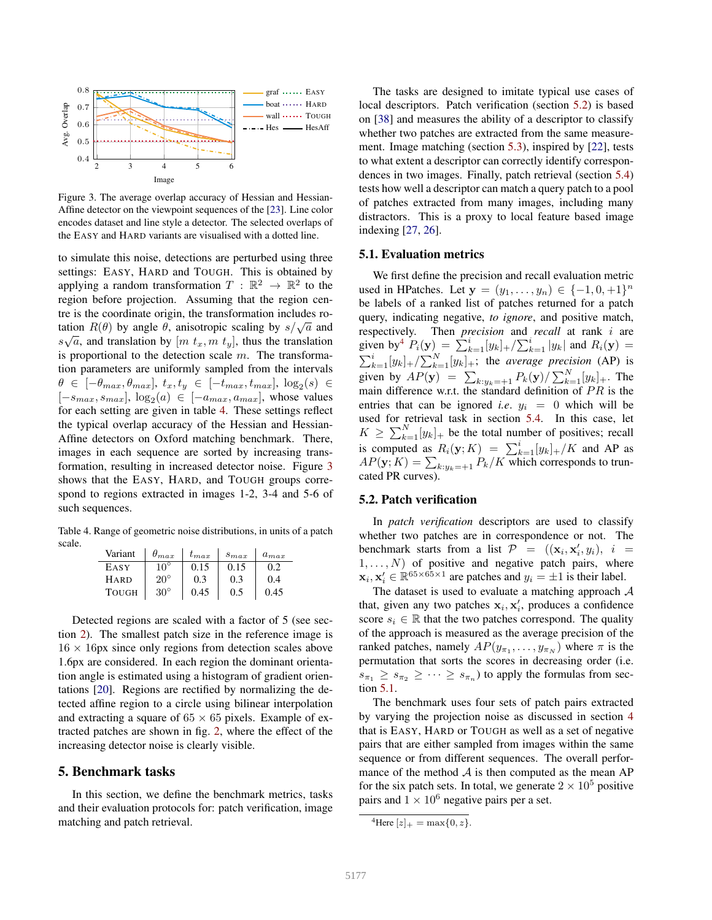

<span id="page-4-2"></span>Figure 3. The average overlap accuracy of Hessian and Hessian-Affine detector on the viewpoint sequences of the [\[23\]](#page-8-30). Line color encodes dataset and line style a detector. The selected overlaps of the EASY and HARD variants are visualised with a dotted line.

to simulate this noise, detections are perturbed using three settings: EASY, HARD and TOUGH. This is obtained by applying a random transformation  $T : \mathbb{R}^2 \to \mathbb{R}^2$  to the region before projection. Assuming that the region centre is the coordinate origin, the transformation includes rotation  $R(\theta)$  by angle  $\theta$ , anisotropic scaling by  $s/\sqrt{a}$  and  $s\sqrt{a}$ , and translation by  $[m t_x, m t_y]$ , thus the translation is proportional to the detection scale *m*. The transformation parameters are uniformly sampled from the intervals  $\theta \in [-\theta_{max}, \theta_{max}], t_x, t_y \in [-t_{max}, t_{max}], \log_2(s) \in$  $[-s_{max}, s_{max}]$ ,  $\log_2(a) \in [-a_{max}, a_{max}]$ , whose values for each setting are given in table [4.](#page-4-1) These settings reflect the typical overlap accuracy of the Hessian and Hessian-Affine detectors on Oxford matching benchmark. There, images in each sequence are sorted by increasing transformation, resulting in increased detector noise. Figure [3](#page-4-2) shows that the EASY, HARD, and TOUGH groups correspond to regions extracted in images 1-2, 3-4 and 5-6 of such sequences.

Table 4. Range of geometric noise distributions, in units of a patch scale.  $\mathbf{r}$ 

<span id="page-4-1"></span>

| Variant      | $\theta_{max}$ | $t_{max}$ | $s_{max}$ | $a_{max}$ |
|--------------|----------------|-----------|-----------|-----------|
| EASY         | $10^{\circ}$   | 0.15      | 0.15      | 0.2       |
| HARD         | $20^{\circ}$   | 0.3       | 0.3       | 0.4       |
| <b>TOUGH</b> | $30^\circ$     | 0.45      | 0.5       | 0.45      |

Detected regions are scaled with a factor of 5 (see section [2\)](#page-1-0). The smallest patch size in the reference image is  $16 \times 16$ px since only regions from detection scales above 1.6px are considered. In each region the dominant orientation angle is estimated using a histogram of gradient orientations [\[20\]](#page-8-0). Regions are rectified by normalizing the detected affine region to a circle using bilinear interpolation and extracting a square of  $65 \times 65$  pixels. Example of extracted patches are shown in fig. [2,](#page-3-3) where the effect of the increasing detector noise is clearly visible.

## <span id="page-4-0"></span>5. Benchmark tasks

In this section, we define the benchmark metrics, tasks and their evaluation protocols for: patch verification, image matching and patch retrieval.

The tasks are designed to imitate typical use cases of local descriptors. Patch verification (section [5.2\)](#page-4-3) is based on [\[38\]](#page-8-11) and measures the ability of a descriptor to classify whether two patches are extracted from the same measurement. Image matching (section [5.3\)](#page-5-1), inspired by [\[22\]](#page-8-3), tests to what extent a descriptor can correctly identify correspondences in two images. Finally, patch retrieval (section [5.4\)](#page-5-2) tests how well a descriptor can match a query patch to a pool of patches extracted from many images, including many distractors. This is a proxy to local feature based image indexing [\[27,](#page-8-31) [26\]](#page-8-21).

#### <span id="page-4-5"></span>5.1. Evaluation metrics

We first define the precision and recall evaluation metric used in HPatches. Let  $y = (y_1, ..., y_n) \in \{-1, 0, +1\}^n$ be labels of a ranked list of patches returned for a patch query, indicating negative, *to ignore*, and positive match, respectively. Then *precision* and *recall* at rank *i* are given by<sup>[4](#page-4-4)</sup>  $P_i(\mathbf{y}) = \sum_{k=1}^{i} [y_k] + \sum_{k=1}^{i} |y_k|$  and  $R_i(\mathbf{y}) =$  $\sum_{k=1}^{i} [y_k]_+ / \sum_{k=1}^{N} [y_k]_+$ ; the *average precision* (AP) is given by  $AP(y) = \sum_{k:y_k=+1} P_k(y) / \sum_{k=1}^{N} [y_k]_+$ . The main difference w.r.t. the standard definition of *P R* is the entries that can be ignored *i.e.*  $y_i = 0$  which will be used for retrieval task in section [5.4.](#page-5-2) In this case, let  $K \ge \sum_{k=1}^{N} [y_k]_+$  be the total number of positives; recall is computed as  $R_i(\mathbf{y}; K) = \sum_{k=1}^{i} [y_k]_+ / K$  and AP as  $AP(\mathbf{y}; K) = \sum_{k:y_k=+1} P_k/K$  which corresponds to truncated PR curves).

#### <span id="page-4-3"></span>5.2. Patch verification

In *patch verification* descriptors are used to classify whether two patches are in correspondence or not. The benchmark starts from a list  $P = ((\mathbf{x}_i, \mathbf{x}'_i, y_i), i =$  $1, \ldots, N$  of positive and negative patch pairs, where  $\mathbf{x}_i, \mathbf{x}'_i \in \mathbb{R}^{65 \times 65 \times 1}$  are patches and  $y_i = \pm 1$  is their label.

The dataset is used to evaluate a matching approach A that, given any two patches  $x_i$ ,  $x'_i$ , produces a confidence score  $s_i \in \mathbb{R}$  that the two patches correspond. The quality of the approach is measured as the average precision of the ranked patches, namely  $AP(y_{\pi_1}, \ldots, y_{\pi_N})$  where  $\pi$  is the permutation that sorts the scores in decreasing order (i.e.  $s_{\pi_1} \geq s_{\pi_2} \geq \cdots \geq s_{\pi_n}$ ) to apply the formulas from section [5.1.](#page-4-5)

The benchmark uses four sets of patch pairs extracted by varying the projection noise as discussed in section [4](#page-3-0) that is EASY, HARD or TOUGH as well as a set of negative pairs that are either sampled from images within the same sequence or from different sequences. The overall performance of the method  $A$  is then computed as the mean AP for the six patch sets. In total, we generate  $2 \times 10^5$  positive pairs and  $1 \times 10^6$  negative pairs per a set.

<span id="page-4-4"></span><sup>&</sup>lt;sup>4</sup>Here  $[z]_+ = \max\{0, z\}.$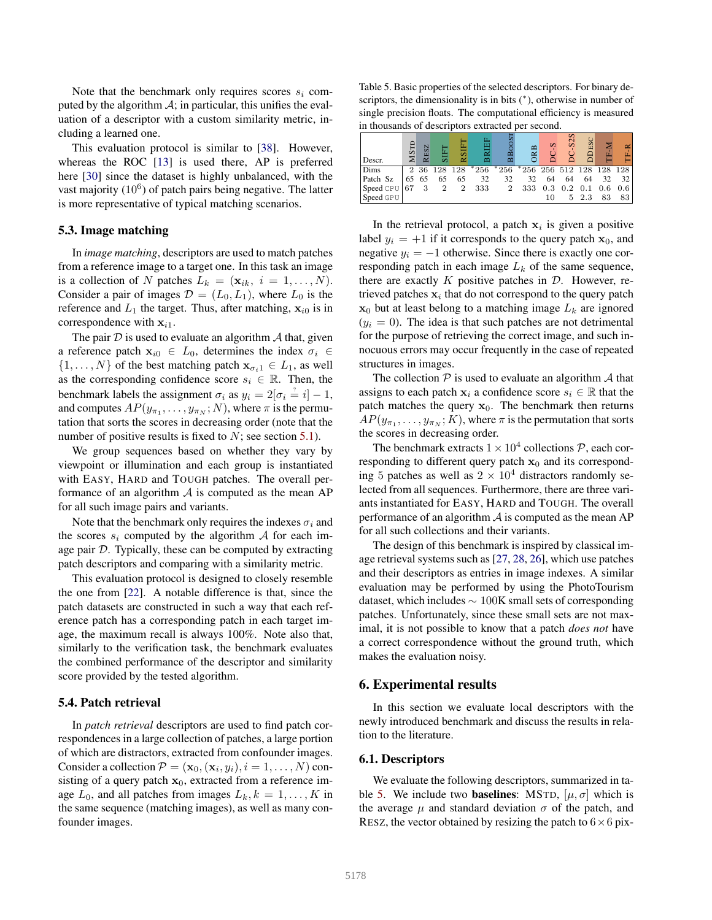Note that the benchmark only requires scores *s<sup>i</sup>* computed by the algorithm  $A$ ; in particular, this unifies the evaluation of a descriptor with a custom similarity metric, including a learned one.

This evaluation protocol is similar to [\[38\]](#page-8-11). However, whereas the ROC [\[13\]](#page-8-25) is used there, AP is preferred here [\[30\]](#page-8-26) since the dataset is highly unbalanced, with the vast majority  $(10^6)$  of patch pairs being negative. The latter is more representative of typical matching scenarios.

#### <span id="page-5-1"></span>5.3. Image matching

In *image matching*, descriptors are used to match patches from a reference image to a target one. In this task an image is a collection of *N* patches  $L_k = (\mathbf{x}_{ik}, i = 1, \dots, N)$ . Consider a pair of images  $\mathcal{D} = (L_0, L_1)$ , where  $L_0$  is the reference and  $L_1$  the target. Thus, after matching,  $\mathbf{x}_{i0}$  is in correspondence with **x***i*1.

The pair  $D$  is used to evaluate an algorithm  $A$  that, given a reference patch  $\mathbf{x}_{i0} \in L_0$ , determines the index  $\sigma_i \in$  $\{1, \ldots, N\}$  of the best matching patch  $\mathbf{x}_{\sigma_i 1} \in L_1$ , as well as the corresponding confidence score  $s_i \in \mathbb{R}$ . Then, the benchmark labels the assignment  $\sigma_i$  as  $y_i = 2[\sigma_i \stackrel{\text{?}}{=} i] - 1$ , and computes  $AP(y_{\pi_1}, \ldots, y_{\pi_N}; N)$ , where  $\pi$  is the permutation that sorts the scores in decreasing order (note that the number of positive results is fixed to *N*; see section [5.1\)](#page-4-5).

We group sequences based on whether they vary by viewpoint or illumination and each group is instantiated with EASY, HARD and TOUGH patches. The overall performance of an algorithm  $A$  is computed as the mean AP for all such image pairs and variants.

Note that the benchmark only requires the indexes  $\sigma_i$  and the scores  $s_i$  computed by the algorithm  $A$  for each image pair D. Typically, these can be computed by extracting patch descriptors and comparing with a similarity metric.

This evaluation protocol is designed to closely resemble the one from [\[22\]](#page-8-3). A notable difference is that, since the patch datasets are constructed in such a way that each reference patch has a corresponding patch in each target image, the maximum recall is always 100%. Note also that, similarly to the verification task, the benchmark evaluates the combined performance of the descriptor and similarity score provided by the tested algorithm.

## <span id="page-5-2"></span>5.4. Patch retrieval

In *patch retrieval* descriptors are used to find patch correspondences in a large collection of patches, a large portion of which are distractors, extracted from confounder images. Consider a collection  $P = (\mathbf{x}_0, (\mathbf{x}_i, y_i), i = 1, ..., N)$  consisting of a query patch  $x_0$ , extracted from a reference image  $L_0$ , and all patches from images  $L_k, k = 1, \ldots, K$  in the same sequence (matching images), as well as many confounder images.

<span id="page-5-3"></span>Table 5. Basic properties of the selected descriptors. For binary descriptors, the dimensionality is in bits (\*), otherwise in number of single precision floats. The computational efficiency is measured in thousands of descriptors extracted per second.

| Descr.          | MST | <b>RESZ</b> | ⊟              | 능<br>$\sim$    | 囸<br>≅            |    |                                   | $\Omega$          | $\omega$<br>S <sub>2</sub> | <b>DESC</b>  |    |                 |
|-----------------|-----|-------------|----------------|----------------|-------------------|----|-----------------------------------|-------------------|----------------------------|--------------|----|-----------------|
| Dims            |     |             |                |                | 2 36 128 128 *256 |    | $*256$ $*256$ 256 512 128 128 128 |                   |                            |              |    |                 |
| Patch Sz        |     | 65 65       | 65             | 65             | 32                | 32 | 32                                | 64                | 64                         | 64           | 32 | 32              |
| Speed CPU $ 67$ |     | 3           | $\overline{2}$ | $\overline{2}$ | 333               | 2  | 333                               | $0.3 \t0.2 \t0.1$ |                            |              |    | $0.6 \quad 0.6$ |
| Speed GPU       |     |             |                |                |                   |    |                                   | 10                |                            | $5\quad 2.3$ | 83 | 83              |

In the retrieval protocol, a patch  $x_i$  is given a positive label  $y_i = +1$  if it corresponds to the query patch  $x_0$ , and negative  $y_i = -1$  otherwise. Since there is exactly one corresponding patch in each image  $L_k$  of the same sequence, there are exactly  $K$  positive patches in  $D$ . However, retrieved patches  $\mathbf{x}_i$  that do not correspond to the query patch  $x_0$  but at least belong to a matching image  $L_k$  are ignored  $(y_i = 0)$ . The idea is that such patches are not detrimental for the purpose of retrieving the correct image, and such innocuous errors may occur frequently in the case of repeated structures in images.

The collection  $P$  is used to evaluate an algorithm  $\mathcal A$  that assigns to each patch  $\mathbf{x}_i$  a confidence score  $s_i \in \mathbb{R}$  that the patch matches the query  $x_0$ . The benchmark then returns  $AP(y_{\pi_1}, \ldots, y_{\pi_N}; K)$ , where  $\pi$  is the permutation that sorts the scores in decreasing order.

The benchmark extracts  $1 \times 10^4$  collections  $P$ , each corresponding to different query patch  $x_0$  and its corresponding 5 patches as well as  $2 \times 10^4$  distractors randomly selected from all sequences. Furthermore, there are three variants instantiated for EASY, HARD and TOUGH. The overall performance of an algorithm  $A$  is computed as the mean AP for all such collections and their variants.

The design of this benchmark is inspired by classical image retrieval systems such as [\[27,](#page-8-31) [28,](#page-8-32) [26\]](#page-8-21), which use patches and their descriptors as entries in image indexes. A similar evaluation may be performed by using the PhotoTourism dataset, which includes  $\sim 100K$  small sets of corresponding patches. Unfortunately, since these small sets are not maximal, it is not possible to know that a patch *does not* have a correct correspondence without the ground truth, which makes the evaluation noisy.

#### <span id="page-5-0"></span>6. Experimental results

In this section we evaluate local descriptors with the newly introduced benchmark and discuss the results in relation to the literature.

#### 6.1. Descriptors

We evaluate the following descriptors, summarized in ta-ble [5.](#page-5-3) We include two **baselines**: MSTD,  $[\mu, \sigma]$  which is the average  $\mu$  and standard deviation  $\sigma$  of the patch, and RESZ, the vector obtained by resizing the patch to  $6 \times 6$  pix-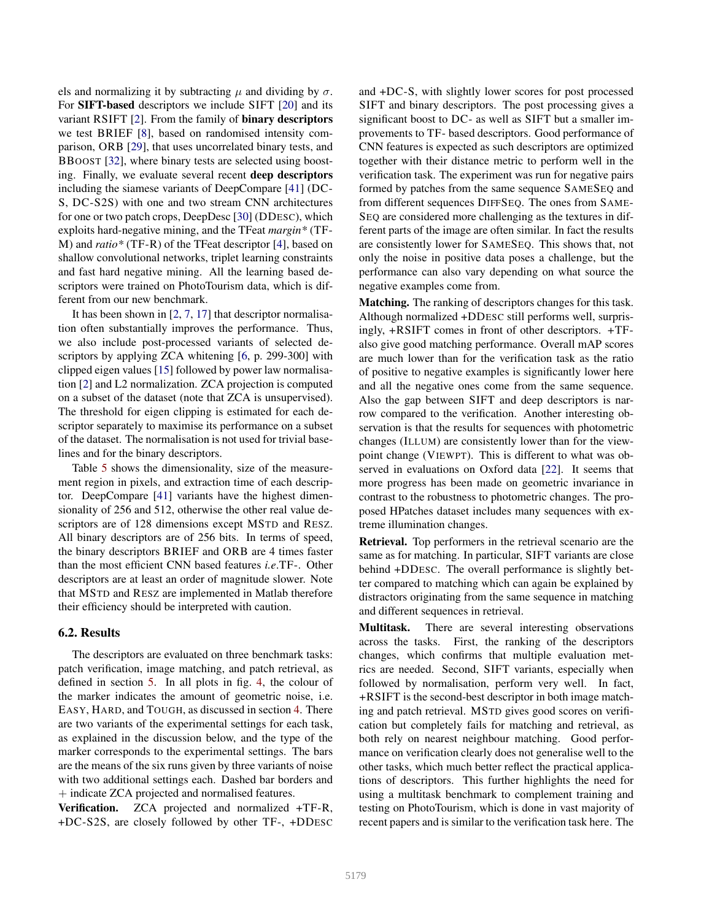els and normalizing it by subtracting  $\mu$  and dividing by  $\sigma$ . For SIFT-based descriptors we include SIFT [\[20\]](#page-8-0) and its variant RSIFT [\[2\]](#page-8-33). From the family of binary descriptors we test BRIEF [\[8\]](#page-8-34), based on randomised intensity comparison, ORB [\[29\]](#page-8-9), that uses uncorrelated binary tests, and BBOOST [\[32\]](#page-8-2), where binary tests are selected using boosting. Finally, we evaluate several recent deep descriptors including the siamese variants of DeepCompare [\[41\]](#page-9-2) (DC-S, DC-S2S) with one and two stream CNN architectures for one or two patch crops, DeepDesc [\[30\]](#page-8-26) (DDESC), which exploits hard-negative mining, and the TFeat *margin\** (TF-M) and *ratio\** (TF-R) of the TFeat descriptor [\[4\]](#page-8-13), based on shallow convolutional networks, triplet learning constraints and fast hard negative mining. All the learning based descriptors were trained on PhotoTourism data, which is different from our new benchmark.

It has been shown in [\[2,](#page-8-33) [7,](#page-8-35) [17\]](#page-8-36) that descriptor normalisation often substantially improves the performance. Thus, we also include post-processed variants of selected descriptors by applying ZCA whitening [\[6,](#page-8-37) p. 299-300] with clipped eigen values [\[15\]](#page-8-38) followed by power law normalisation [\[2\]](#page-8-33) and L2 normalization. ZCA projection is computed on a subset of the dataset (note that ZCA is unsupervised). The threshold for eigen clipping is estimated for each descriptor separately to maximise its performance on a subset of the dataset. The normalisation is not used for trivial baselines and for the binary descriptors.

Table [5](#page-5-3) shows the dimensionality, size of the measurement region in pixels, and extraction time of each descriptor. DeepCompare [\[41\]](#page-9-2) variants have the highest dimensionality of 256 and 512, otherwise the other real value descriptors are of 128 dimensions except MSTD and RESZ. All binary descriptors are of 256 bits. In terms of speed, the binary descriptors BRIEF and ORB are 4 times faster than the most efficient CNN based features *i.e*.TF-. Other descriptors are at least an order of magnitude slower. Note that MSTD and RESZ are implemented in Matlab therefore their efficiency should be interpreted with caution.

## <span id="page-6-0"></span>6.2. Results

The descriptors are evaluated on three benchmark tasks: patch verification, image matching, and patch retrieval, as defined in section [5.](#page-4-0) In all plots in fig. [4,](#page-7-0) the colour of the marker indicates the amount of geometric noise, i.e. EASY, HARD, and TOUGH, as discussed in section [4.](#page-3-0) There are two variants of the experimental settings for each task, as explained in the discussion below, and the type of the marker corresponds to the experimental settings. The bars are the means of the six runs given by three variants of noise with two additional settings each. Dashed bar borders and + indicate ZCA projected and normalised features.

Verification. ZCA projected and normalized +TF-R, +DC-S2S, are closely followed by other TF-, +DDESC and +DC-S, with slightly lower scores for post processed SIFT and binary descriptors. The post processing gives a significant boost to DC- as well as SIFT but a smaller improvements to TF- based descriptors. Good performance of CNN features is expected as such descriptors are optimized together with their distance metric to perform well in the verification task. The experiment was run for negative pairs formed by patches from the same sequence SAMESEQ and from different sequences DIFFSEQ. The ones from SAME-SEQ are considered more challenging as the textures in different parts of the image are often similar. In fact the results are consistently lower for SAMESEQ. This shows that, not only the noise in positive data poses a challenge, but the performance can also vary depending on what source the negative examples come from.

Matching. The ranking of descriptors changes for this task. Although normalized +DDESC still performs well, surprisingly, +RSIFT comes in front of other descriptors. +TFalso give good matching performance. Overall mAP scores are much lower than for the verification task as the ratio of positive to negative examples is significantly lower here and all the negative ones come from the same sequence. Also the gap between SIFT and deep descriptors is narrow compared to the verification. Another interesting observation is that the results for sequences with photometric changes (ILLUM) are consistently lower than for the viewpoint change (VIEWPT). This is different to what was observed in evaluations on Oxford data [\[22\]](#page-8-3). It seems that more progress has been made on geometric invariance in contrast to the robustness to photometric changes. The proposed HPatches dataset includes many sequences with extreme illumination changes.

Retrieval. Top performers in the retrieval scenario are the same as for matching. In particular, SIFT variants are close behind +DDESC. The overall performance is slightly better compared to matching which can again be explained by distractors originating from the same sequence in matching and different sequences in retrieval.

Multitask. There are several interesting observations across the tasks. First, the ranking of the descriptors changes, which confirms that multiple evaluation metrics are needed. Second, SIFT variants, especially when followed by normalisation, perform very well. In fact, +RSIFT is the second-best descriptor in both image matching and patch retrieval. MSTD gives good scores on verification but completely fails for matching and retrieval, as both rely on nearest neighbour matching. Good performance on verification clearly does not generalise well to the other tasks, which much better reflect the practical applications of descriptors. This further highlights the need for using a multitask benchmark to complement training and testing on PhotoTourism, which is done in vast majority of recent papers and is similar to the verification task here. The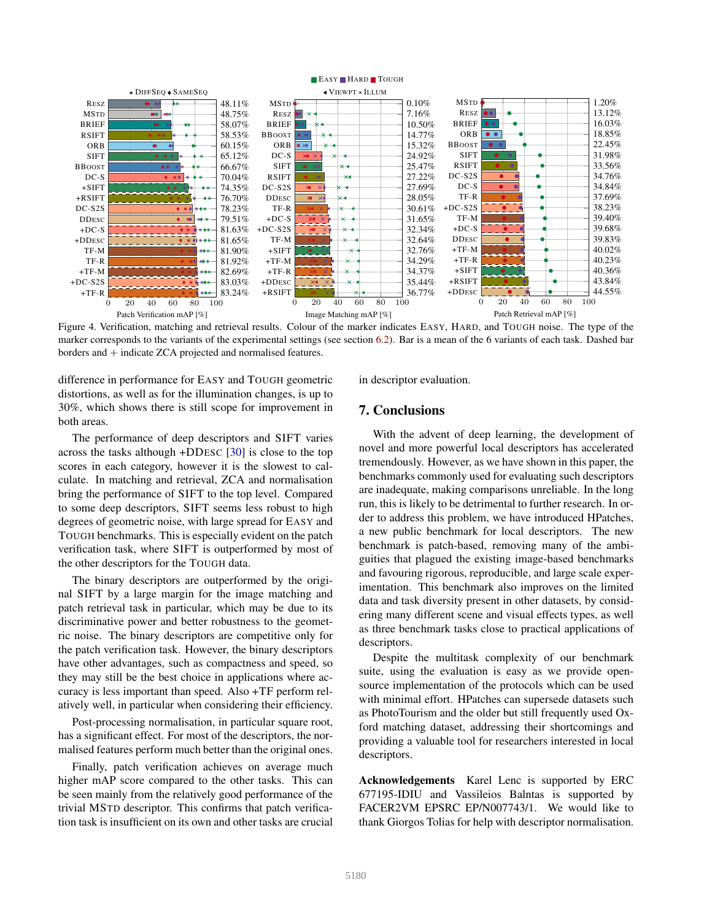

<span id="page-7-0"></span>Figure 4. Verification, matching and retrieval results. Colour of the marker indicates EASY, HARD, and TOUGH noise. The type of the marker corresponds to the variants of the experimental settings (see section [6.2\)](#page-6-0). Bar is a mean of the 6 variants of each task. Dashed bar borders and + indicate ZCA projected and normalised features.

difference in performance for EASY and TOUGH geometric distortions, as well as for the illumination changes, is up to 30%, which shows there is still scope for improvement in both areas.

The performance of deep descriptors and SIFT varies across the tasks although +DDESC [\[30\]](#page-8-26) is close to the top scores in each category, however it is the slowest to calculate. In matching and retrieval, ZCA and normalisation bring the performance of SIFT to the top level. Compared to some deep descriptors, SIFT seems less robust to high degrees of geometric noise, with large spread for EASY and TOUGH benchmarks. This is especially evident on the patch verification task, where SIFT is outperformed by most of the other descriptors for the TOUGH data.

The binary descriptors are outperformed by the original SIFT by a large margin for the image matching and patch retrieval task in particular, which may be due to its discriminative power and better robustness to the geometric noise. The binary descriptors are competitive only for the patch verification task. However, the binary descriptors have other advantages, such as compactness and speed, so they may still be the best choice in applications where accuracy is less important than speed. Also +TF perform relatively well, in particular when considering their efficiency.

Post-processing normalisation, in particular square root, has a significant effect. For most of the descriptors, the normalised features perform much better than the original ones.

Finally, patch verification achieves on average much higher mAP score compared to the other tasks. This can be seen mainly from the relatively good performance of the trivial MSTD descriptor. This confirms that patch verification task is insufficient on its own and other tasks are crucial in descriptor evaluation.

## 7. Conclusions

With the advent of deep learning, the development of novel and more powerful local descriptors has accelerated tremendously. However, as we have shown in this paper, the benchmarks commonly used for evaluating such descriptors are inadequate, making comparisons unreliable. In the long run, this is likely to be detrimental to further research. In order to address this problem, we have introduced HPatches, a new public benchmark for local descriptors. The new benchmark is patch-based, removing many of the ambiguities that plagued the existing image-based benchmarks and favouring rigorous, reproducible, and large scale experimentation. This benchmark also improves on the limited data and task diversity present in other datasets, by considering many different scene and visual effects types, as well as three benchmark tasks close to practical applications of descriptors.

Despite the multitask complexity of our benchmark suite, using the evaluation is easy as we provide opensource implementation of the protocols which can be used with minimal effort. HPatches can supersede datasets such as PhotoTourism and the older but still frequently used Oxford matching dataset, addressing their shortcomings and providing a valuable tool for researchers interested in local descriptors.

Acknowledgements Karel Lenc is supported by ERC 677195-IDIU and Vassileios Balntas is supported by FACER2VM EPSRC EP/N007743/1. We would like to thank Giorgos Tolias for help with descriptor normalisation.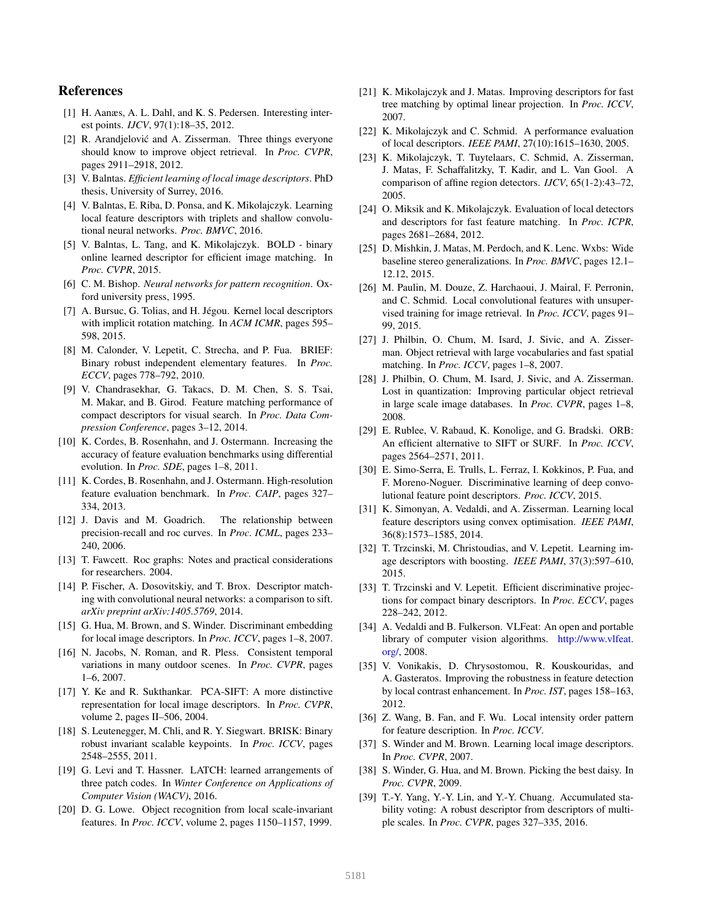## References

- <span id="page-8-14"></span>[1] H. Aanæs, A. L. Dahl, and K. S. Pedersen. Interesting interest points. *IJCV*, 97(1):18–35, 2012.
- <span id="page-8-33"></span>[2] R. Arandjelović and A. Zisserman. Three things everyone should know to improve object retrieval. In *Proc. CVPR*, pages 2911–2918, 2012.
- <span id="page-8-23"></span>[3] V. Balntas. *Efficient learning of local image descriptors*. PhD thesis, University of Surrey, 2016.
- <span id="page-8-13"></span>[4] V. Balntas, E. Riba, D. Ponsa, and K. Mikolajczyk. Learning local feature descriptors with triplets and shallow convolutional neural networks. *Proc. BMVC*, 2016.
- <span id="page-8-10"></span>[5] V. Balntas, L. Tang, and K. Mikolajczyk. BOLD - binary online learned descriptor for efficient image matching. In *Proc. CVPR*, 2015.
- <span id="page-8-37"></span>[6] C. M. Bishop. *Neural networks for pattern recognition*. Oxford university press, 1995.
- <span id="page-8-35"></span>[7] A. Bursuc, G. Tolias, and H. Jégou. Kernel local descriptors with implicit rotation matching. In *ACM ICMR*, pages 595– 598, 2015.
- <span id="page-8-34"></span>[8] M. Calonder, V. Lepetit, C. Strecha, and P. Fua. BRIEF: Binary robust independent elementary features. In *Proc. ECCV*, pages 778–792, 2010.
- <span id="page-8-20"></span>[9] V. Chandrasekhar, G. Takacs, D. M. Chen, S. S. Tsai, M. Makar, and B. Girod. Feature matching performance of compact descriptors for visual search. In *Proc. Data Compression Conference*, pages 3–12, 2014.
- <span id="page-8-22"></span>[10] K. Cordes, B. Rosenhahn, and J. Ostermann. Increasing the accuracy of feature evaluation benchmarks using differential evolution. In *Proc. SDE*, pages 1–8, 2011.
- <span id="page-8-15"></span>[11] K. Cordes, B. Rosenhahn, and J. Ostermann. High-resolution feature evaluation benchmark. In *Proc. CAIP*, pages 327– 334, 2013.
- <span id="page-8-24"></span>[12] J. Davis and M. Goadrich. The relationship between precision-recall and roc curves. In *Proc. ICML*, pages 233– 240, 2006.
- <span id="page-8-25"></span>[13] T. Fawcett. Roc graphs: Notes and practical considerations for researchers. 2004.
- <span id="page-8-12"></span>[14] P. Fischer, A. Dosovitskiy, and T. Brox. Descriptor matching with convolutional neural networks: a comparison to sift. *arXiv preprint arXiv:1405.5769*, 2014.
- <span id="page-8-38"></span>[15] G. Hua, M. Brown, and S. Winder. Discriminant embedding for local image descriptors. In *Proc. ICCV*, pages 1–8, 2007.
- <span id="page-8-28"></span>[16] N. Jacobs, N. Roman, and R. Pless. Consistent temporal variations in many outdoor scenes. In *Proc. CVPR*, pages 1–6, 2007.
- <span id="page-8-36"></span>[17] Y. Ke and R. Sukthankar. PCA-SIFT: A more distinctive representation for local image descriptors. In *Proc. CVPR*, volume 2, pages II–506, 2004.
- <span id="page-8-7"></span>[18] S. Leutenegger, M. Chli, and R. Y. Siegwart. BRISK: Binary robust invariant scalable keypoints. In *Proc. ICCV*, pages 2548–2555, 2011.
- <span id="page-8-8"></span>[19] G. Levi and T. Hassner. LATCH: learned arrangements of three patch codes. In *Winter Conference on Applications of Computer Vision (WACV)*, 2016.
- <span id="page-8-0"></span>[20] D. G. Lowe. Object recognition from local scale-invariant features. In *Proc. ICCV*, volume 2, pages 1150–1157, 1999.
- <span id="page-8-1"></span>[21] K. Mikolajczyk and J. Matas. Improving descriptors for fast tree matching by optimal linear projection. In *Proc. ICCV*, 2007.
- <span id="page-8-3"></span>[22] K. Mikolajczyk and C. Schmid. A performance evaluation of local descriptors. *IEEE PAMI*, 27(10):1615–1630, 2005.
- <span id="page-8-30"></span>[23] K. Mikolajczyk, T. Tuytelaars, C. Schmid, A. Zisserman, J. Matas, F. Schaffalitzky, T. Kadir, and L. Van Gool. A comparison of affine region detectors. *IJCV*, 65(1-2):43–72, 2005.
- <span id="page-8-4"></span>[24] O. Miksik and K. Mikolajczyk. Evaluation of local detectors and descriptors for fast feature matching. In *Proc. ICPR*, pages 2681–2684, 2012.
- <span id="page-8-16"></span>[25] D. Mishkin, J. Matas, M. Perdoch, and K. Lenc. Wxbs: Wide baseline stereo generalizations. In *Proc. BMVC*, pages 12.1– 12.12, 2015.
- <span id="page-8-21"></span>[26] M. Paulin, M. Douze, Z. Harchaoui, J. Mairal, F. Perronin, and C. Schmid. Local convolutional features with unsupervised training for image retrieval. In *Proc. ICCV*, pages 91– 99, 2015.
- <span id="page-8-31"></span>[27] J. Philbin, O. Chum, M. Isard, J. Sivic, and A. Zisserman. Object retrieval with large vocabularies and fast spatial matching. In *Proc. ICCV*, pages 1–8, 2007.
- <span id="page-8-32"></span>[28] J. Philbin, O. Chum, M. Isard, J. Sivic, and A. Zisserman. Lost in quantization: Improving particular object retrieval in large scale image databases. In *Proc. CVPR*, pages 1–8, 2008.
- <span id="page-8-9"></span>[29] E. Rublee, V. Rabaud, K. Konolige, and G. Bradski. ORB: An efficient alternative to SIFT or SURF. In *Proc. ICCV*, pages 2564–2571, 2011.
- <span id="page-8-26"></span>[30] E. Simo-Serra, E. Trulls, L. Ferraz, I. Kokkinos, P. Fua, and F. Moreno-Noguer. Discriminative learning of deep convolutional feature point descriptors. *Proc. ICCV*, 2015.
- <span id="page-8-17"></span>[31] K. Simonyan, A. Vedaldi, and A. Zisserman. Learning local feature descriptors using convex optimisation. *IEEE PAMI*, 36(8):1573–1585, 2014.
- <span id="page-8-2"></span>[32] T. Trzcinski, M. Christoudias, and V. Lepetit. Learning image descriptors with boosting. *IEEE PAMI*, 37(3):597–610, 2015.
- <span id="page-8-27"></span>[33] T. Trzcinski and V. Lepetit. Efficient discriminative projections for compact binary descriptors. In *Proc. ECCV*, pages 228–242, 2012.
- <span id="page-8-18"></span>[34] A. Vedaldi and B. Fulkerson. VLFeat: An open and portable library of computer vision algorithms. [http://www.vlfeat.](http://www.vlfeat.org/) [org/,](http://www.vlfeat.org/) 2008.
- <span id="page-8-29"></span>[35] V. Vonikakis, D. Chrysostomou, R. Kouskouridas, and A. Gasteratos. Improving the robustness in feature detection by local contrast enhancement. In *Proc. IST*, pages 158–163, 2012.
- <span id="page-8-5"></span>[36] Z. Wang, B. Fan, and F. Wu. Local intensity order pattern for feature description. In *Proc. ICCV*.
- <span id="page-8-19"></span>[37] S. Winder and M. Brown. Learning local image descriptors. In *Proc. CVPR*, 2007.
- <span id="page-8-11"></span>[38] S. Winder, G. Hua, and M. Brown. Picking the best daisy. In *Proc. CVPR*, 2009.
- <span id="page-8-6"></span>[39] T.-Y. Yang, Y.-Y. Lin, and Y.-Y. Chuang. Accumulated stability voting: A robust descriptor from descriptors of multiple scales. In *Proc. CVPR*, pages 327–335, 2016.